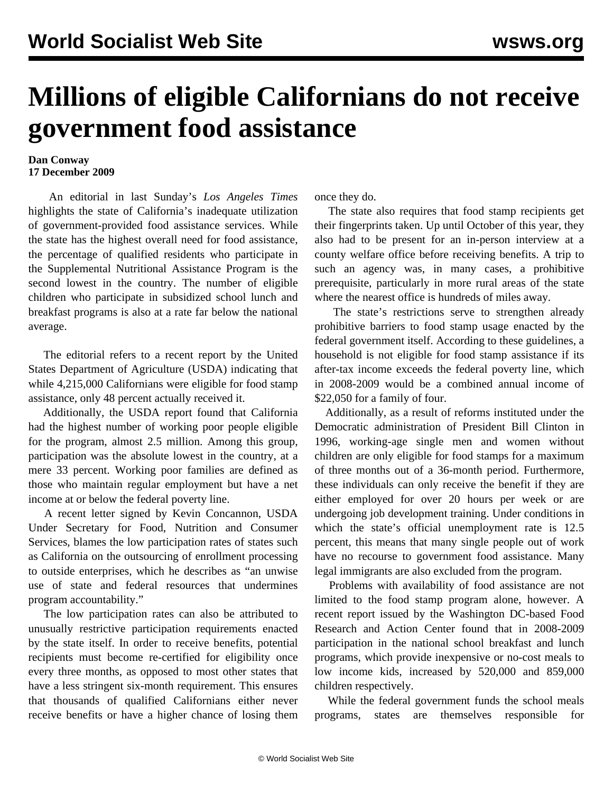## **Millions of eligible Californians do not receive government food assistance**

## **Dan Conway 17 December 2009**

 An editorial in last Sunday's *Los Angeles Times* highlights the state of California's inadequate utilization of government-provided food assistance services. While the state has the highest overall need for food assistance, the percentage of qualified residents who participate in the Supplemental Nutritional Assistance Program is the second lowest in the country. The number of eligible children who participate in subsidized school lunch and breakfast programs is also at a rate far below the national average.

 The editorial refers to a recent report by the United States Department of Agriculture (USDA) indicating that while 4,215,000 Californians were eligible for food stamp assistance, only 48 percent actually received it.

 Additionally, the USDA report found that California had the highest number of working poor people eligible for the program, almost 2.5 million. Among this group, participation was the absolute lowest in the country, at a mere 33 percent. Working poor families are defined as those who maintain regular employment but have a net income at or below the federal poverty line.

 A recent letter signed by Kevin Concannon, USDA Under Secretary for Food, Nutrition and Consumer Services, blames the low participation rates of states such as California on the outsourcing of enrollment processing to outside enterprises, which he describes as "an unwise use of state and federal resources that undermines program accountability."

 The low participation rates can also be attributed to unusually restrictive participation requirements enacted by the state itself. In order to receive benefits, potential recipients must become re-certified for eligibility once every three months, as opposed to most other states that have a less stringent six-month requirement. This ensures that thousands of qualified Californians either never receive benefits or have a higher chance of losing them

once they do.

 The state also requires that food stamp recipients get their fingerprints taken. Up until October of this year, they also had to be present for an in-person interview at a county welfare office before receiving benefits. A trip to such an agency was, in many cases, a prohibitive prerequisite, particularly in more rural areas of the state where the nearest office is hundreds of miles away.

 The state's restrictions serve to strengthen already prohibitive barriers to food stamp usage enacted by the federal government itself. According to these guidelines, a household is not eligible for food stamp assistance if its after-tax income exceeds the federal poverty line, which in 2008-2009 would be a combined annual income of \$22,050 for a family of four.

 Additionally, as a result of reforms instituted under the Democratic administration of President Bill Clinton in 1996, working-age single men and women without children are only eligible for food stamps for a maximum of three months out of a 36-month period. Furthermore, these individuals can only receive the benefit if they are either employed for over 20 hours per week or are undergoing job development training. Under conditions in which the state's official unemployment rate is 12.5 percent, this means that many single people out of work have no recourse to government food assistance. Many legal immigrants are also excluded from the program.

 Problems with availability of food assistance are not limited to the food stamp program alone, however. A recent report issued by the Washington DC-based Food Research and Action Center found that in 2008-2009 participation in the national school breakfast and lunch programs, which provide inexpensive or no-cost meals to low income kids, increased by 520,000 and 859,000 children respectively.

 While the federal government funds the school meals programs, states are themselves responsible for